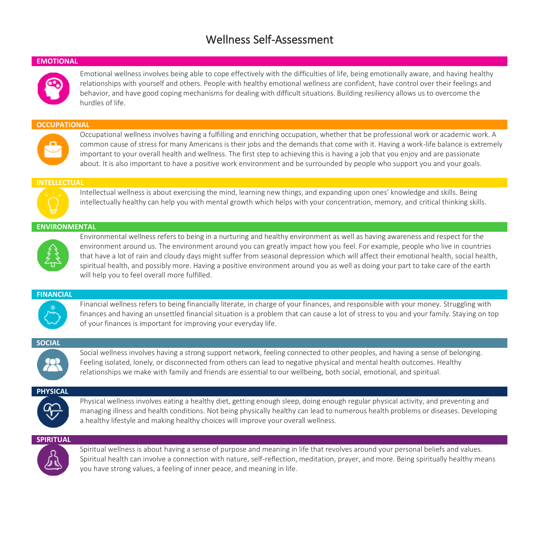# Wellness Self-Assessment

#### **EMOTIONAL**

Emotional wellness involves being able to cope effectively with the difficulties of life, being emotionally aware, and having healthy relationships with yourself and others. People with healthy emotional wellness are confident, have control over their feelings and behavior, and have good coping mechanisms for dealing with difficult situations. Building resiliency allows us to overcome the hurdles of life.

#### **OCCUPATIONAL**



Occupational wellness involves having a fulfilling and enriching occupation, whether that be professional work or academic work. A common cause of stress for many Americans is their jobs and the demands that come with it. Having a work-life balance is extremely important to your overall health and wellness. The first step to achieving this is having a job that you enjoy and are passionate about. It is also important to have a positive work environment and be surrounded by people who support you and your goals.

#### **INTELLECTUAL**



Intellectual wellness is about exercising the mind, learning new things, and expanding upon ones' knowledge and skills. Being intellectually healthy can help you with mental growth which helps with your concentration, memory, and critical thinking skills.

## **ENVIRONMENTAL**



Environmental wellness refers to being in a nurturing and healthy environment as well as having awareness and respect for the environment around us. The environment around you can greatly impact how you feel. For example, people who live in countries that have a lot of rain and cloudy days might suffer from seasonal depression which will affect their emotional health, social health, spiritual health, and possibly more. Having a positive environment around you as well as doing your part to take care of the earth will help you to feel overall more fulfilled.

#### **FINANCIAL**



Financial wellness refers to being financially literate, in charge of your finances, and responsible with your money. Struggling with finances and having an unsettled financial situation is a problem that can cause a lot of stress to you and your family. Staying on top of your finances is important for improving your everyday life.

#### **SOCIAL**



Social wellness involves having a strong support network, feeling connected to other peoples, and having a sense of belonging. Feeling isolated, lonely, or disconnected from others can lead to negative physical and mental health outcomes. Healthy relationships we make with family and friends are essential to our wellbeing, both social, emotional, and spiritual.

## **PHYSICAL**



Physical wellness involves eating a healthy diet, getting enough sleep, doing enough regular physical activity, and preventing and managing illness and health conditions. Not being physically healthy can lead to numerous health problems or diseases. Developing a healthy lifestyle and making healthy choices will improve your overall wellness.

## **SPIRITUAL**



Spiritual wellness is about having a sense of purpose and meaning in life that revolves around your personal beliefs and values. Spiritual health can involve a connection with nature, self-reflection, meditation, prayer, and more. Being spiritually healthy means you have strong values, a feeling of inner peace, and meaning in life.